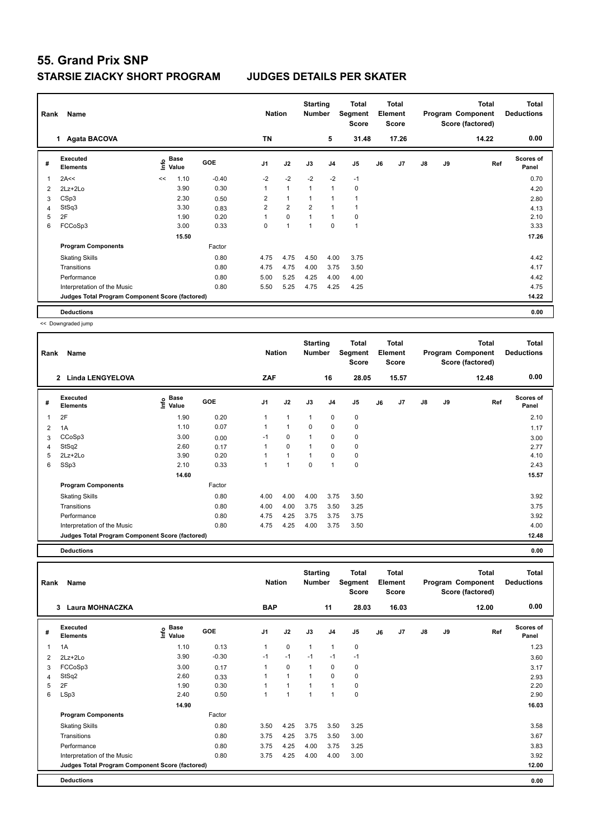| Rank | Name                                            |    |                           |            | <b>Nation</b>  |                | <b>Starting</b><br><b>Number</b> |                | Total<br>Segment<br><b>Score</b> |    | <b>Total</b><br>Element<br><b>Score</b> |    |    | Total<br>Program Component<br>Score (factored) | <b>Total</b><br><b>Deductions</b> |
|------|-------------------------------------------------|----|---------------------------|------------|----------------|----------------|----------------------------------|----------------|----------------------------------|----|-----------------------------------------|----|----|------------------------------------------------|-----------------------------------|
|      | 1 Agata BACOVA                                  |    |                           |            | <b>TN</b>      |                |                                  | 5              | 31.48                            |    | 17.26                                   |    |    | 14.22                                          | 0.00                              |
| #    | <b>Executed</b><br><b>Elements</b>              |    | Base<br>o Base<br>⊆ Value | <b>GOE</b> | J <sub>1</sub> | J2             | J3                               | J <sub>4</sub> | J5                               | J6 | J7                                      | J8 | J9 | Ref                                            | Scores of<br>Panel                |
| 1    | 2A<<                                            | << | 1.10                      | $-0.40$    | $-2$           | $-2$           | $-2$                             | $-2$           | $-1$                             |    |                                         |    |    |                                                | 0.70                              |
| 2    | $2Lz + 2Lo$                                     |    | 3.90                      | 0.30       | 1              | $\mathbf{1}$   | $\overline{1}$                   | $\overline{1}$ | 0                                |    |                                         |    |    |                                                | 4.20                              |
| 3    | CSp3                                            |    | 2.30                      | 0.50       | $\overline{2}$ | $\mathbf{1}$   | $\overline{1}$                   | $\overline{1}$ |                                  |    |                                         |    |    |                                                | 2.80                              |
| 4    | StSq3                                           |    | 3.30                      | 0.83       | $\overline{2}$ | $\overline{2}$ | $\overline{2}$                   | $\overline{ }$ |                                  |    |                                         |    |    |                                                | 4.13                              |
| 5    | 2F                                              |    | 1.90                      | 0.20       | 1              | $\mathbf 0$    | $\overline{1}$                   | $\overline{1}$ | 0                                |    |                                         |    |    |                                                | 2.10                              |
| 6    | FCCoSp3                                         |    | 3.00                      | 0.33       | $\Omega$       | $\overline{1}$ | 1                                | $\mathbf 0$    | $\mathbf{1}$                     |    |                                         |    |    |                                                | 3.33                              |
|      |                                                 |    | 15.50                     |            |                |                |                                  |                |                                  |    |                                         |    |    |                                                | 17.26                             |
|      | <b>Program Components</b>                       |    |                           | Factor     |                |                |                                  |                |                                  |    |                                         |    |    |                                                |                                   |
|      | <b>Skating Skills</b>                           |    |                           | 0.80       | 4.75           | 4.75           | 4.50                             | 4.00           | 3.75                             |    |                                         |    |    |                                                | 4.42                              |
|      | Transitions                                     |    |                           | 0.80       | 4.75           | 4.75           | 4.00                             | 3.75           | 3.50                             |    |                                         |    |    |                                                | 4.17                              |
|      | Performance                                     |    |                           | 0.80       | 5.00           | 5.25           | 4.25                             | 4.00           | 4.00                             |    |                                         |    |    |                                                | 4.42                              |
|      | Interpretation of the Music                     |    |                           | 0.80       | 5.50           | 5.25           | 4.75                             | 4.25           | 4.25                             |    |                                         |    |    |                                                | 4.75                              |
|      | Judges Total Program Component Score (factored) |    |                           |            |                |                |                                  |                |                                  |    |                                         |    |    |                                                | 14.22                             |
|      | <b>Deductions</b>                               |    |                           |            |                |                |                                  |                |                                  |    |                                         |    |    |                                                | 0.00                              |

<< Downgraded jump

| Rank | Name                                            |                                                  |            | <b>Nation</b>  |              | <b>Starting</b><br><b>Number</b> |                | Total<br>Segment<br><b>Score</b> |    | <b>Total</b><br>Element<br><b>Score</b> |    |    | <b>Total</b><br>Program Component<br>Score (factored) | <b>Total</b><br><b>Deductions</b> |
|------|-------------------------------------------------|--------------------------------------------------|------------|----------------|--------------|----------------------------------|----------------|----------------------------------|----|-----------------------------------------|----|----|-------------------------------------------------------|-----------------------------------|
|      | <b>Linda LENGYELOVA</b><br>$\mathbf{2}$         |                                                  |            | ZAF            |              |                                  | 16             | 28.05                            |    | 15.57                                   |    |    | 12.48                                                 | 0.00                              |
| #    | <b>Executed</b><br><b>Elements</b>              | $\mathbf{e}$ Base<br>$\mathbf{e}$ Value<br>Value | <b>GOE</b> | J <sub>1</sub> | J2           | J3                               | J <sub>4</sub> | J5                               | J6 | J7                                      | J8 | J9 | Ref                                                   | Scores of<br>Panel                |
| 1    | 2F                                              | 1.90                                             | 0.20       |                | $\mathbf{1}$ | $\mathbf{1}$                     | $\mathbf 0$    | $\mathbf 0$                      |    |                                         |    |    |                                                       | 2.10                              |
| 2    | 1A                                              | 1.10                                             | 0.07       |                | $\mathbf{1}$ | $\Omega$                         | $\mathbf 0$    | 0                                |    |                                         |    |    |                                                       | 1.17                              |
| 3    | CCoSp3                                          | 3.00                                             | 0.00       | $-1$           | $\mathbf 0$  | $\mathbf{1}$                     | 0              | 0                                |    |                                         |    |    |                                                       | 3.00                              |
| 4    | StSq2                                           | 2.60                                             | 0.17       |                | $\mathbf 0$  | $\overline{1}$                   | $\mathbf 0$    | 0                                |    |                                         |    |    |                                                       | 2.77                              |
| 5    | $2Lz+2Lo$                                       | 3.90                                             | 0.20       |                | $\mathbf{1}$ | $\mathbf{1}$                     | 0              | 0                                |    |                                         |    |    |                                                       | 4.10                              |
| 6    | SSp3                                            | 2.10                                             | 0.33       |                | $\mathbf{1}$ | 0                                | $\mathbf{1}$   | $\mathbf 0$                      |    |                                         |    |    |                                                       | 2.43                              |
|      |                                                 | 14.60                                            |            |                |              |                                  |                |                                  |    |                                         |    |    |                                                       | 15.57                             |
|      | <b>Program Components</b>                       |                                                  | Factor     |                |              |                                  |                |                                  |    |                                         |    |    |                                                       |                                   |
|      | <b>Skating Skills</b>                           |                                                  | 0.80       | 4.00           | 4.00         | 4.00                             | 3.75           | 3.50                             |    |                                         |    |    |                                                       | 3.92                              |
|      | Transitions                                     |                                                  | 0.80       | 4.00           | 4.00         | 3.75                             | 3.50           | 3.25                             |    |                                         |    |    |                                                       | 3.75                              |
|      | Performance                                     |                                                  | 0.80       | 4.75           | 4.25         | 3.75                             | 3.75           | 3.75                             |    |                                         |    |    |                                                       | 3.92                              |
|      | Interpretation of the Music                     |                                                  | 0.80       | 4.75           | 4.25         | 4.00                             | 3.75           | 3.50                             |    |                                         |    |    |                                                       | 4.00                              |
|      | Judges Total Program Component Score (factored) |                                                  |            |                |              |                                  |                |                                  |    |                                         |    |    |                                                       | 12.48                             |

**Deductions 0.00**

**Total Deductions Total Program Component Score (factored) Total Element Score Total Segment Score Starting Rank Name Nation Number # Executed Elements Base Value GOE J1 J2 J3 J4 J5 J6 J7 J8 J9 Scores of Panel** 1 1.10 0.13 1 0 1 1 0 **Ref**  سماء المسلمة المسلمة المسلمة المسلمة المسلمة المسلمة المسلمة المسلمة المسلمة المسلمة المسلمة المسلمة المسلمة ا<br>1A 1.10 0.13 1 0 1 1 0<br>1.23 1 0 1 1 0  **3 Laura MOHNACZKA BAP 11 28.03 16.03 12.00 0.00** 2 2Lz+2Lo 3.90 -0.30 -1 -1 -1 -1 -1 3.60 3 FCCoSp3 3.00 0.17 1 0 1 0 0 3.17 4 StSq2 2.60 0.33 1 1 1 0 0 2.93 5 2F 1.90 0.30 1 1 1 1 0 2.20 6 LSp3 2.40 0.50 1 1 1 1 0 2.90  **14.90** 16.03 **Program Components**  Skating Skills 3.50 3.25 3.75 3.50 3.25 Factor 0.80 3.58 Transitions 0.80 3.75 4.25 3.75 3.50 3.00 3.67 Performance 0.80 3.75 4.25 4.00 3.75 3.25 3.83 Interpretation of the Music 0.80 0.80 3.75 4.25 4.00 4.00 3.00 3.92 3.92 **Deductions 0.00 Judges Total Program Component Score (factored) 12.00**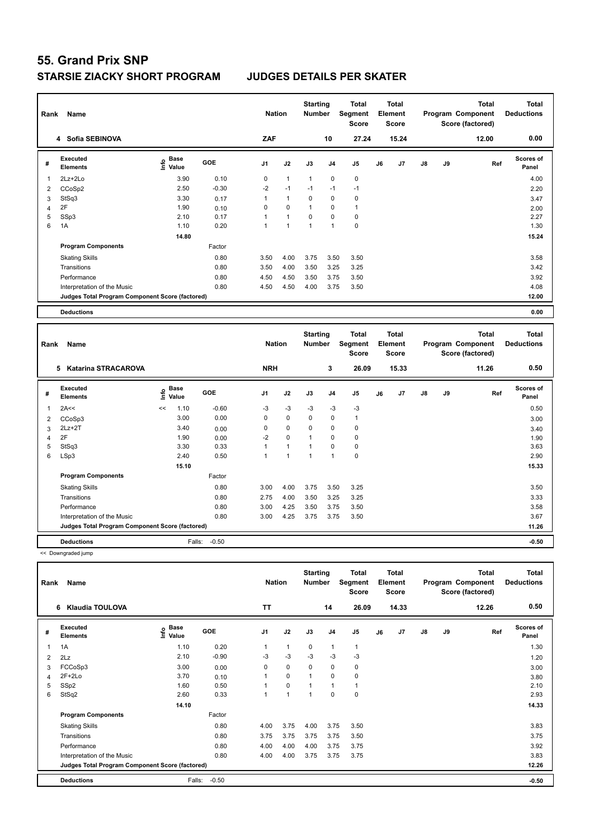| Rank | Name<br>4 Sofia SEBINOVA                        |                              |         | <b>Nation</b>  |              | <b>Starting</b><br><b>Number</b> |                | <b>Total</b><br>Segment<br><b>Score</b> |    | <b>Total</b><br>Element<br><b>Score</b> |    |    | <b>Total</b><br>Program Component<br>Score (factored) | <b>Total</b><br><b>Deductions</b> |
|------|-------------------------------------------------|------------------------------|---------|----------------|--------------|----------------------------------|----------------|-----------------------------------------|----|-----------------------------------------|----|----|-------------------------------------------------------|-----------------------------------|
|      |                                                 |                              |         | ZAF            |              |                                  | 10             | 27.24                                   |    | 15.24                                   |    |    | 12.00                                                 | 0.00                              |
| #    | Executed<br><b>Elements</b>                     | <b>Base</b><br>١nfo<br>Value | GOE     | J <sub>1</sub> | J2           | J3                               | J <sub>4</sub> | J <sub>5</sub>                          | J6 | J7                                      | J8 | J9 | Ref                                                   | <b>Scores of</b><br>Panel         |
| 1    | 2Lz+2Lo                                         | 3.90                         | 0.10    | 0              | $\mathbf{1}$ | $\overline{1}$                   | $\mathbf 0$    | $\mathbf 0$                             |    |                                         |    |    |                                                       | 4.00                              |
| 2    | CCoSp2                                          | 2.50                         | $-0.30$ | $-2$           | $-1$         | $-1$                             | $-1$           | $-1$                                    |    |                                         |    |    |                                                       | 2.20                              |
| 3    | StSq3                                           | 3.30                         | 0.17    | 1              | $\mathbf{1}$ | 0                                | $\mathbf 0$    | 0                                       |    |                                         |    |    |                                                       | 3.47                              |
| 4    | 2F                                              | 1.90                         | 0.10    | 0              | $\mathbf 0$  | -1                               | $\mathbf 0$    | $\mathbf{1}$                            |    |                                         |    |    |                                                       | 2.00                              |
| 5    | SSp3                                            | 2.10                         | 0.17    | 1              | $\mathbf{1}$ | $\mathbf 0$                      | $\mathbf 0$    | $\pmb{0}$                               |    |                                         |    |    |                                                       | 2.27                              |
| 6    | 1A                                              | 1.10                         | 0.20    | $\mathbf{1}$   | 1            | 1                                | 1              | $\pmb{0}$                               |    |                                         |    |    |                                                       | 1.30                              |
|      |                                                 | 14.80                        |         |                |              |                                  |                |                                         |    |                                         |    |    |                                                       | 15.24                             |
|      | <b>Program Components</b>                       |                              | Factor  |                |              |                                  |                |                                         |    |                                         |    |    |                                                       |                                   |
|      | <b>Skating Skills</b>                           |                              | 0.80    | 3.50           | 4.00         | 3.75                             | 3.50           | 3.50                                    |    |                                         |    |    |                                                       | 3.58                              |
|      | Transitions                                     |                              | 0.80    | 3.50           | 4.00         | 3.50                             | 3.25           | 3.25                                    |    |                                         |    |    |                                                       | 3.42                              |
|      | Performance                                     |                              | 0.80    | 4.50           | 4.50         | 3.50                             | 3.75           | 3.50                                    |    |                                         |    |    |                                                       | 3.92                              |
|      | Interpretation of the Music                     |                              | 0.80    | 4.50           | 4.50         | 4.00                             | 3.75           | 3.50                                    |    |                                         |    |    |                                                       | 4.08                              |
|      | Judges Total Program Component Score (factored) |                              |         |                |              |                                  |                |                                         |    |                                         |    |    |                                                       | 12.00                             |
|      | <b>Deductions</b>                               |                              |         |                |              |                                  |                |                                         |    |                                         |    |    |                                                       | 0.00                              |

| Rank | Name                                            |                              |             |            | <b>Nation</b>  |                | <b>Starting</b><br><b>Number</b> |                | Total<br>Segment<br><b>Score</b> |    | <b>Total</b><br>Element<br><b>Score</b> |               |    | <b>Total</b><br>Program Component<br>Score (factored) | Total<br><b>Deductions</b> |
|------|-------------------------------------------------|------------------------------|-------------|------------|----------------|----------------|----------------------------------|----------------|----------------------------------|----|-----------------------------------------|---------------|----|-------------------------------------------------------|----------------------------|
|      | 5<br>Katarina STRACAROVA                        |                              |             |            | <b>NRH</b>     |                |                                  | 3              | 26.09                            |    | 15.33                                   |               |    | 11.26                                                 | 0.50                       |
| #    | <b>Executed</b><br><b>Elements</b>              | e <sup>Base</sup><br>⊆ Value | <b>Base</b> | <b>GOE</b> | J <sub>1</sub> | J2             | J3                               | J <sub>4</sub> | J <sub>5</sub>                   | J6 | J7                                      | $\mathsf{J}8$ | J9 | Ref                                                   | <b>Scores of</b><br>Panel  |
| 1    | 2A<<                                            | <<                           | 1.10        | $-0.60$    | $-3$           | $-3$           | $-3$                             | $-3$           | $-3$                             |    |                                         |               |    |                                                       | 0.50                       |
| 2    | CCoSp3                                          |                              | 3.00        | 0.00       | 0              | $\mathbf 0$    | $\mathbf 0$                      | $\mathbf 0$    | $\mathbf{1}$                     |    |                                         |               |    |                                                       | 3.00                       |
| 3    | $2Lz+2T$                                        |                              | 3.40        | 0.00       | 0              | $\mathbf 0$    | $\mathbf 0$                      | $\mathbf 0$    | 0                                |    |                                         |               |    |                                                       | 3.40                       |
| 4    | 2F                                              |                              | 1.90        | 0.00       | $-2$           | $\mathbf 0$    | 1                                | $\mathbf 0$    | 0                                |    |                                         |               |    |                                                       | 1.90                       |
| 5    | StSq3                                           |                              | 3.30        | 0.33       |                | $\mathbf{1}$   | 1                                | $\mathbf 0$    | $\pmb{0}$                        |    |                                         |               |    |                                                       | 3.63                       |
| 6    | LSp3                                            |                              | 2.40        | 0.50       |                | $\overline{ }$ | 1                                | $\mathbf{1}$   | $\mathbf 0$                      |    |                                         |               |    |                                                       | 2.90                       |
|      |                                                 |                              | 15.10       |            |                |                |                                  |                |                                  |    |                                         |               |    |                                                       | 15.33                      |
|      | <b>Program Components</b>                       |                              |             | Factor     |                |                |                                  |                |                                  |    |                                         |               |    |                                                       |                            |
|      | <b>Skating Skills</b>                           |                              |             | 0.80       | 3.00           | 4.00           | 3.75                             | 3.50           | 3.25                             |    |                                         |               |    |                                                       | 3.50                       |
|      | Transitions                                     |                              |             | 0.80       | 2.75           | 4.00           | 3.50                             | 3.25           | 3.25                             |    |                                         |               |    |                                                       | 3.33                       |
|      | Performance                                     |                              |             | 0.80       | 3.00           | 4.25           | 3.50                             | 3.75           | 3.50                             |    |                                         |               |    |                                                       | 3.58                       |
|      | Interpretation of the Music                     |                              |             | 0.80       | 3.00           | 4.25           | 3.75                             | 3.75           | 3.50                             |    |                                         |               |    |                                                       | 3.67                       |
|      | Judges Total Program Component Score (factored) |                              |             |            |                |                |                                  |                |                                  |    |                                         |               |    |                                                       | 11.26                      |
|      | <b>Deductions</b>                               |                              | Falls:      | $-0.50$    |                |                |                                  |                |                                  |    |                                         |               |    |                                                       | $-0.50$                    |

<< Downgraded jump

| Rank | Name                                            |                                  |         | <b>Nation</b>  |                | <b>Starting</b><br><b>Number</b> |                | <b>Total</b><br>Segment<br><b>Score</b> |    | <b>Total</b><br>Element<br><b>Score</b> |               |    | <b>Total</b><br>Program Component<br>Score (factored) | <b>Total</b><br><b>Deductions</b> |
|------|-------------------------------------------------|----------------------------------|---------|----------------|----------------|----------------------------------|----------------|-----------------------------------------|----|-----------------------------------------|---------------|----|-------------------------------------------------------|-----------------------------------|
|      | Klaudia TOULOVA<br>6                            |                                  |         | <b>TT</b>      |                |                                  | 14             | 26.09                                   |    | 14.33                                   |               |    | 12.26                                                 | 0.50                              |
| #    | Executed<br><b>Elements</b>                     | <b>Base</b><br>e Base<br>⊆ Value | GOE     | J <sub>1</sub> | J2             | J3                               | J <sub>4</sub> | J <sub>5</sub>                          | J6 | J7                                      | $\mathsf{J}8$ | J9 | Ref                                                   | <b>Scores of</b><br>Panel         |
| 1    | 1A                                              | 1.10                             | 0.20    | 1              | $\mathbf{1}$   | 0                                | $\mathbf 1$    | $\mathbf{1}$                            |    |                                         |               |    |                                                       | 1.30                              |
| 2    | 2Lz                                             | 2.10                             | $-0.90$ | $-3$           | $-3$           | $-3$                             | $-3$           | $-3$                                    |    |                                         |               |    |                                                       | 1.20                              |
| 3    | FCCoSp3                                         | 3.00                             | 0.00    | $\Omega$       | $\mathbf 0$    | $\Omega$                         | $\mathbf 0$    | 0                                       |    |                                         |               |    |                                                       | 3.00                              |
| 4    | $2F+2Lo$                                        | 3.70                             | 0.10    |                | $\mathbf 0$    |                                  | $\mathbf 0$    | 0                                       |    |                                         |               |    |                                                       | 3.80                              |
| 5    | SSp2                                            | 1.60                             | 0.50    |                | $\mathbf 0$    |                                  | $\overline{1}$ | $\mathbf{1}$                            |    |                                         |               |    |                                                       | 2.10                              |
| 6    | StSq2                                           | 2.60                             | 0.33    | 1              | $\overline{1}$ | 1                                | $\mathbf 0$    | $\mathbf 0$                             |    |                                         |               |    |                                                       | 2.93                              |
|      |                                                 | 14.10                            |         |                |                |                                  |                |                                         |    |                                         |               |    |                                                       | 14.33                             |
|      | <b>Program Components</b>                       |                                  | Factor  |                |                |                                  |                |                                         |    |                                         |               |    |                                                       |                                   |
|      | <b>Skating Skills</b>                           |                                  | 0.80    | 4.00           | 3.75           | 4.00                             | 3.75           | 3.50                                    |    |                                         |               |    |                                                       | 3.83                              |
|      | Transitions                                     |                                  | 0.80    | 3.75           | 3.75           | 3.75                             | 3.75           | 3.50                                    |    |                                         |               |    |                                                       | 3.75                              |
|      | Performance                                     |                                  | 0.80    | 4.00           | 4.00           | 4.00                             | 3.75           | 3.75                                    |    |                                         |               |    |                                                       | 3.92                              |
|      | Interpretation of the Music                     |                                  | 0.80    | 4.00           | 4.00           | 3.75                             | 3.75           | 3.75                                    |    |                                         |               |    |                                                       | 3.83                              |
|      | Judges Total Program Component Score (factored) |                                  |         |                |                |                                  |                |                                         |    |                                         |               |    |                                                       | 12.26                             |
|      | <b>Deductions</b>                               | Falls:                           | $-0.50$ |                |                |                                  |                |                                         |    |                                         |               |    |                                                       | $-0.50$                           |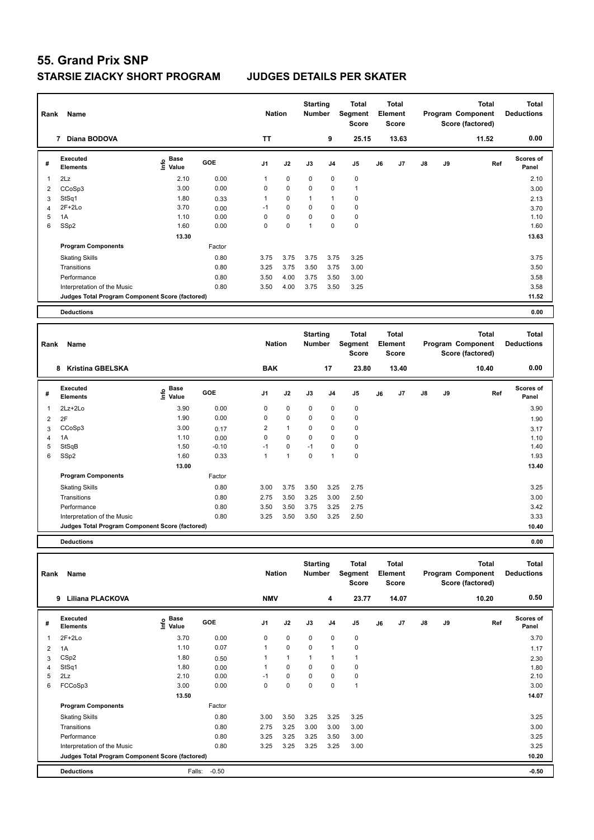| Rank           | Name<br>Diana BODOVA<br>7                       |                              |        | <b>Nation</b>  |             | <b>Starting</b><br><b>Number</b> |                | <b>Total</b><br>Segment<br><b>Score</b> |    | <b>Total</b><br>Element<br><b>Score</b> |               |    | <b>Total</b><br>Program Component<br>Score (factored) | <b>Total</b><br><b>Deductions</b> |
|----------------|-------------------------------------------------|------------------------------|--------|----------------|-------------|----------------------------------|----------------|-----------------------------------------|----|-----------------------------------------|---------------|----|-------------------------------------------------------|-----------------------------------|
|                |                                                 |                              |        | <b>TT</b>      |             |                                  | 9              | 25.15                                   |    | 13.63                                   |               |    | 11.52                                                 | 0.00                              |
| #              | Executed<br><b>Elements</b>                     | <b>Base</b><br>Info<br>Value | GOE    | J <sub>1</sub> | J2          | J3                               | J <sub>4</sub> | J <sub>5</sub>                          | J6 | J7                                      | $\mathsf{J}8$ | J9 | Ref                                                   | <b>Scores of</b><br>Panel         |
| 1              | 2Lz                                             | 2.10                         | 0.00   | $\mathbf{1}$   | $\mathbf 0$ | $\mathbf 0$                      | $\mathbf 0$    | $\mathbf 0$                             |    |                                         |               |    |                                                       | 2.10                              |
| $\overline{2}$ | CCoSp3                                          | 3.00                         | 0.00   | 0              | $\mathbf 0$ | 0                                | 0              | $\mathbf{1}$                            |    |                                         |               |    |                                                       | 3.00                              |
| 3              | StSq1                                           | 1.80                         | 0.33   | 1              | $\mathbf 0$ | 1                                | $\mathbf{1}$   | $\mathbf 0$                             |    |                                         |               |    |                                                       | 2.13                              |
| 4              | $2F+2Lo$                                        | 3.70                         | 0.00   | $-1$           | $\mathbf 0$ | $\mathbf 0$                      | $\mathbf 0$    | $\mathbf 0$                             |    |                                         |               |    |                                                       | 3.70                              |
| 5              | 1A                                              | 1.10                         | 0.00   | 0              | $\mathbf 0$ | $\Omega$                         | $\mathbf 0$    | $\mathbf 0$                             |    |                                         |               |    |                                                       | 1.10                              |
| 6              | SS <sub>p2</sub>                                | 1.60                         | 0.00   | $\Omega$       | 0           | 1                                | $\Omega$       | $\mathbf 0$                             |    |                                         |               |    |                                                       | 1.60                              |
|                |                                                 | 13.30                        |        |                |             |                                  |                |                                         |    |                                         |               |    |                                                       | 13.63                             |
|                | <b>Program Components</b>                       |                              | Factor |                |             |                                  |                |                                         |    |                                         |               |    |                                                       |                                   |
|                | <b>Skating Skills</b>                           |                              | 0.80   | 3.75           | 3.75        | 3.75                             | 3.75           | 3.25                                    |    |                                         |               |    |                                                       | 3.75                              |
|                | Transitions                                     |                              | 0.80   | 3.25           | 3.75        | 3.50                             | 3.75           | 3.00                                    |    |                                         |               |    |                                                       | 3.50                              |
|                | Performance                                     |                              | 0.80   | 3.50           | 4.00        | 3.75                             | 3.50           | 3.00                                    |    |                                         |               |    |                                                       | 3.58                              |
|                | Interpretation of the Music                     |                              | 0.80   | 3.50           | 4.00        | 3.75                             | 3.50           | 3.25                                    |    |                                         |               |    |                                                       | 3.58                              |
|                | Judges Total Program Component Score (factored) |                              |        |                |             |                                  |                |                                         |    |                                         |               |    |                                                       | 11.52                             |
|                | <b>Deductions</b>                               |                              |        |                |             |                                  |                |                                         |    |                                         |               |    |                                                       | 0.00                              |

| Rank | Name                                            |                                      |            | <b>Nation</b>  |                | <b>Starting</b><br>Number |                | <b>Total</b><br>Segment<br><b>Score</b> |    | <b>Total</b><br>Element<br><b>Score</b> |    |    | <b>Total</b><br>Program Component<br>Score (factored) | <b>Total</b><br><b>Deductions</b> |
|------|-------------------------------------------------|--------------------------------------|------------|----------------|----------------|---------------------------|----------------|-----------------------------------------|----|-----------------------------------------|----|----|-------------------------------------------------------|-----------------------------------|
|      | <b>Kristina GBELSKA</b><br>8                    |                                      |            | <b>BAK</b>     |                |                           | 17             | 23.80                                   |    | 13.40                                   |    |    | 10.40                                                 | 0.00                              |
| #    | Executed<br><b>Elements</b>                     | Base<br>e <sup>Base</sup><br>⊆ Value | <b>GOE</b> | J <sub>1</sub> | J2             | J3                        | J <sub>4</sub> | J <sub>5</sub>                          | J6 | J <sub>7</sub>                          | J8 | J9 | Ref                                                   | <b>Scores of</b><br>Panel         |
| 1    | 2Lz+2Lo                                         | 3.90                                 | 0.00       | 0              | $\mathbf 0$    | $\mathbf 0$               | $\mathbf 0$    | 0                                       |    |                                         |    |    |                                                       | 3.90                              |
| 2    | 2F                                              | 1.90                                 | 0.00       | 0              | $\mathbf 0$    | 0                         | 0              | 0                                       |    |                                         |    |    |                                                       | 1.90                              |
| 3    | CCoSp3                                          | 3.00                                 | 0.17       | $\overline{2}$ | $\mathbf{1}$   | 0                         | $\mathbf 0$    | 0                                       |    |                                         |    |    |                                                       | 3.17                              |
| 4    | 1A                                              | 1.10                                 | 0.00       | 0              | $\mathbf 0$    | 0                         | $\mathbf 0$    | $\mathbf 0$                             |    |                                         |    |    |                                                       | 1.10                              |
| 5    | StSqB                                           | 1.50                                 | $-0.10$    | $-1$           | $\mathbf 0$    | $-1$                      | $\mathbf 0$    | 0                                       |    |                                         |    |    |                                                       | 1.40                              |
| 6    | SSp2                                            | 1.60                                 | 0.33       | 1              | $\overline{1}$ | 0                         | $\overline{1}$ | $\mathbf 0$                             |    |                                         |    |    |                                                       | 1.93                              |
|      |                                                 | 13.00                                |            |                |                |                           |                |                                         |    |                                         |    |    |                                                       | 13.40                             |
|      | <b>Program Components</b>                       |                                      | Factor     |                |                |                           |                |                                         |    |                                         |    |    |                                                       |                                   |
|      | <b>Skating Skills</b>                           |                                      | 0.80       | 3.00           | 3.75           | 3.50                      | 3.25           | 2.75                                    |    |                                         |    |    |                                                       | 3.25                              |
|      | Transitions                                     |                                      | 0.80       | 2.75           | 3.50           | 3.25                      | 3.00           | 2.50                                    |    |                                         |    |    |                                                       | 3.00                              |
|      | Performance                                     |                                      | 0.80       | 3.50           | 3.50           | 3.75                      | 3.25           | 2.75                                    |    |                                         |    |    |                                                       | 3.42                              |
|      | Interpretation of the Music                     |                                      | 0.80       | 3.25           | 3.50           | 3.50                      | 3.25           | 2.50                                    |    |                                         |    |    |                                                       | 3.33                              |
|      | Judges Total Program Component Score (factored) |                                      |            |                |                |                           |                |                                         |    |                                         |    |    |                                                       | 10.40                             |
|      |                                                 |                                      |            |                |                |                           |                |                                         |    |                                         |    |    |                                                       |                                   |

**Deductions 0.00**

| Rank | Name                                            |                                  |         | <b>Nation</b>  |              | <b>Starting</b><br><b>Number</b> |                | Total<br>Segment<br><b>Score</b> |    | <b>Total</b><br>Element<br><b>Score</b> |               |    | Total<br>Program Component<br>Score (factored) | Total<br><b>Deductions</b> |
|------|-------------------------------------------------|----------------------------------|---------|----------------|--------------|----------------------------------|----------------|----------------------------------|----|-----------------------------------------|---------------|----|------------------------------------------------|----------------------------|
|      | 9<br>Liliana PLACKOVA                           |                                  |         | <b>NMV</b>     |              |                                  | 4              | 23.77                            |    | 14.07                                   |               |    | 10.20                                          | 0.50                       |
| #    | <b>Executed</b><br><b>Elements</b>              | <b>Base</b><br>e Base<br>E Value | GOE     | J <sub>1</sub> | J2           | J3                               | J <sub>4</sub> | J5                               | J6 | J7                                      | $\mathsf{J}8$ | J9 | Ref                                            | <b>Scores of</b><br>Panel  |
| 1    | $2F+2Lo$                                        | 3.70                             | 0.00    | 0              | $\pmb{0}$    | 0                                | $\pmb{0}$      | 0                                |    |                                         |               |    |                                                | 3.70                       |
| 2    | 1A                                              | 1.10                             | 0.07    |                | $\mathbf 0$  | 0                                | $\mathbf{1}$   | 0                                |    |                                         |               |    |                                                | 1.17                       |
| 3    | CSp2                                            | 1.80                             | 0.50    |                | $\mathbf{1}$ |                                  |                | 1                                |    |                                         |               |    |                                                | 2.30                       |
| 4    | StSq1                                           | 1.80                             | 0.00    |                | 0            | 0                                | 0              | 0                                |    |                                         |               |    |                                                | 1.80                       |
| 5    | 2Lz                                             | 2.10                             | 0.00    | $-1$           | $\mathbf 0$  | 0                                | 0              | 0                                |    |                                         |               |    |                                                | 2.10                       |
| 6    | FCCoSp3                                         | 3.00                             | 0.00    | 0              | 0            | 0                                | 0              | $\mathbf{1}$                     |    |                                         |               |    |                                                | 3.00                       |
|      |                                                 | 13.50                            |         |                |              |                                  |                |                                  |    |                                         |               |    |                                                | 14.07                      |
|      | <b>Program Components</b>                       |                                  | Factor  |                |              |                                  |                |                                  |    |                                         |               |    |                                                |                            |
|      | <b>Skating Skills</b>                           |                                  | 0.80    | 3.00           | 3.50         | 3.25                             | 3.25           | 3.25                             |    |                                         |               |    |                                                | 3.25                       |
|      | Transitions                                     |                                  | 0.80    | 2.75           | 3.25         | 3.00                             | 3.00           | 3.00                             |    |                                         |               |    |                                                | 3.00                       |
|      | Performance                                     |                                  | 0.80    | 3.25           | 3.25         | 3.25                             | 3.50           | 3.00                             |    |                                         |               |    |                                                | 3.25                       |
|      | Interpretation of the Music                     |                                  | 0.80    | 3.25           | 3.25         | 3.25                             | 3.25           | 3.00                             |    |                                         |               |    |                                                | 3.25                       |
|      | Judges Total Program Component Score (factored) |                                  |         |                |              |                                  |                |                                  |    |                                         |               |    |                                                | 10.20                      |
|      | <b>Deductions</b>                               | Falls:                           | $-0.50$ |                |              |                                  |                |                                  |    |                                         |               |    |                                                | $-0.50$                    |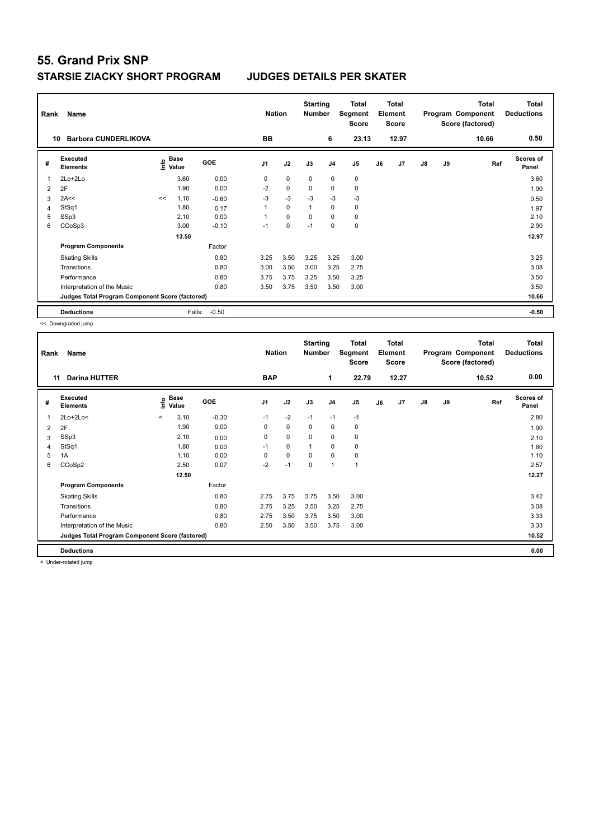| Rank | Name                                            |    |                           |            | <b>Nation</b> |             | <b>Starting</b><br><b>Number</b> |                | Total<br>Segment<br>Score |    | <b>Total</b><br>Element<br><b>Score</b> |    |    | <b>Total</b><br>Program Component<br>Score (factored) | <b>Total</b><br><b>Deductions</b> |
|------|-------------------------------------------------|----|---------------------------|------------|---------------|-------------|----------------------------------|----------------|---------------------------|----|-----------------------------------------|----|----|-------------------------------------------------------|-----------------------------------|
|      | <b>Barbora CUNDERLIKOVA</b><br>10               |    |                           |            | BB            |             |                                  | 6              | 23.13                     |    | 12.97                                   |    |    | 10.66                                                 | 0.50                              |
| #    | Executed<br><b>Elements</b>                     |    | Base<br>o Base<br>⊆ Value | <b>GOE</b> | J1            | J2          | J3                               | J <sub>4</sub> | J5                        | J6 | J <sub>7</sub>                          | J8 | J9 | Ref                                                   | Scores of<br>Panel                |
| 1    | 2Lo+2Lo                                         |    | 3.60                      | 0.00       | 0             | $\mathbf 0$ | $\mathbf 0$                      | $\mathbf 0$    | $\pmb{0}$                 |    |                                         |    |    |                                                       | 3.60                              |
| 2    | 2F                                              |    | 1.90                      | 0.00       | $-2$          | $\pmb{0}$   | 0                                | 0              | 0                         |    |                                         |    |    |                                                       | 1.90                              |
| 3    | 2A<<                                            | << | 1.10                      | $-0.60$    | $-3$          | $-3$        | $-3$                             | $-3$           | $-3$                      |    |                                         |    |    |                                                       | 0.50                              |
| 4    | StSq1                                           |    | 1.80                      | 0.17       | $\mathbf{1}$  | $\Omega$    | 1                                | $\mathbf 0$    | $\mathbf 0$               |    |                                         |    |    |                                                       | 1.97                              |
| 5    | SSp3                                            |    | 2.10                      | 0.00       | 1             | $\mathbf 0$ | 0                                | $\mathbf 0$    | 0                         |    |                                         |    |    |                                                       | 2.10                              |
| 6    | CCoSp3                                          |    | 3.00                      | $-0.10$    | $-1$          | 0           | $-1$                             | 0              | $\pmb{0}$                 |    |                                         |    |    |                                                       | 2.90                              |
|      |                                                 |    | 13.50                     |            |               |             |                                  |                |                           |    |                                         |    |    |                                                       | 12.97                             |
|      | <b>Program Components</b>                       |    |                           | Factor     |               |             |                                  |                |                           |    |                                         |    |    |                                                       |                                   |
|      | <b>Skating Skills</b>                           |    |                           | 0.80       | 3.25          | 3.50        | 3.25                             | 3.25           | 3.00                      |    |                                         |    |    |                                                       | 3.25                              |
|      | Transitions                                     |    |                           | 0.80       | 3.00          | 3.50        | 3.00                             | 3.25           | 2.75                      |    |                                         |    |    |                                                       | 3.08                              |
|      | Performance                                     |    |                           | 0.80       | 3.75          | 3.75        | 3.25                             | 3.50           | 3.25                      |    |                                         |    |    |                                                       | 3.50                              |
|      | Interpretation of the Music                     |    |                           | 0.80       | 3.50          | 3.75        | 3.50                             | 3.50           | 3.00                      |    |                                         |    |    |                                                       | 3.50                              |
|      | Judges Total Program Component Score (factored) |    |                           |            |               |             |                                  |                |                           |    |                                         |    |    |                                                       | 10.66                             |
|      | <b>Deductions</b>                               |    | Falls:                    | $-0.50$    |               |             |                                  |                |                           |    |                                         |    |    |                                                       | $-0.50$                           |

<< Downgraded jump

| Rank | Name                                            |         |               |            | <b>Nation</b>  |             | <b>Starting</b><br><b>Number</b> |                | Total<br>Segment<br><b>Score</b> |    | <b>Total</b><br>Element<br><b>Score</b> |               |    | <b>Total</b><br>Program Component<br>Score (factored) | <b>Total</b><br><b>Deductions</b> |
|------|-------------------------------------------------|---------|---------------|------------|----------------|-------------|----------------------------------|----------------|----------------------------------|----|-----------------------------------------|---------------|----|-------------------------------------------------------|-----------------------------------|
|      | <b>Darina HUTTER</b><br>11                      |         |               |            | <b>BAP</b>     |             |                                  | 1              | 22.79                            |    | 12.27                                   |               |    | 10.52                                                 | 0.00                              |
| #    | Executed<br><b>Elements</b>                     | ١nfo    | Base<br>Value | <b>GOE</b> | J <sub>1</sub> | J2          | J3                               | J <sub>4</sub> | J5                               | J6 | J7                                      | $\mathsf{J}8$ | J9 | Ref                                                   | <b>Scores of</b><br>Panel         |
| 1    | $2Lo+2Lo<$                                      | $\prec$ | 3.10          | $-0.30$    | $-1$           | $-2$        | $-1$                             | $-1$           | $-1$                             |    |                                         |               |    |                                                       | 2.80                              |
| 2    | 2F                                              |         | 1.90          | 0.00       | 0              | $\mathbf 0$ | 0                                | $\pmb{0}$      | 0                                |    |                                         |               |    |                                                       | 1.90                              |
| 3    | SSp3                                            |         | 2.10          | 0.00       | $\Omega$       | $\mathbf 0$ | $\Omega$                         | $\mathbf 0$    | $\mathbf 0$                      |    |                                         |               |    |                                                       | 2.10                              |
| 4    | StSq1                                           |         | 1.80          | 0.00       | $-1$           | $\mathbf 0$ | 1                                | $\mathbf 0$    | $\mathbf 0$                      |    |                                         |               |    |                                                       | 1.80                              |
| 5    | 1A                                              |         | 1.10          | 0.00       | 0              | $\mathbf 0$ | 0                                | $\mathbf 0$    | 0                                |    |                                         |               |    |                                                       | 1.10                              |
| 6    | CCoSp2                                          |         | 2.50          | 0.07       | $-2$           | $-1$        | $\mathbf 0$                      | $\overline{1}$ | $\mathbf{1}$                     |    |                                         |               |    |                                                       | 2.57                              |
|      |                                                 |         | 12.50         |            |                |             |                                  |                |                                  |    |                                         |               |    |                                                       | 12.27                             |
|      | <b>Program Components</b>                       |         |               | Factor     |                |             |                                  |                |                                  |    |                                         |               |    |                                                       |                                   |
|      | <b>Skating Skills</b>                           |         |               | 0.80       | 2.75           | 3.75        | 3.75                             | 3.50           | 3.00                             |    |                                         |               |    |                                                       | 3.42                              |
|      | Transitions                                     |         |               | 0.80       | 2.75           | 3.25        | 3.50                             | 3.25           | 2.75                             |    |                                         |               |    |                                                       | 3.08                              |
|      | Performance                                     |         |               | 0.80       | 2.75           | 3.50        | 3.75                             | 3.50           | 3.00                             |    |                                         |               |    |                                                       | 3.33                              |
|      | Interpretation of the Music                     |         |               | 0.80       | 2.50           | 3.50        | 3.50                             | 3.75           | 3.00                             |    |                                         |               |    |                                                       | 3.33                              |
|      | Judges Total Program Component Score (factored) |         |               |            |                |             |                                  |                |                                  |    |                                         |               |    |                                                       | 10.52                             |
|      | <b>Deductions</b>                               |         |               |            |                |             |                                  |                |                                  |    |                                         |               |    |                                                       | 0.00                              |

< Under-rotated jump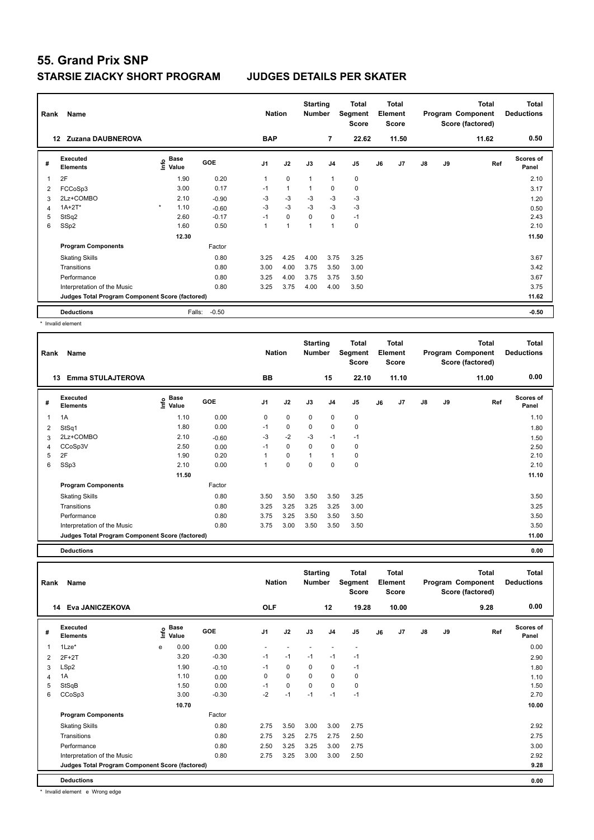| Rank           | Name                                            |         |                                  |            | <b>Nation</b>  |              | <b>Starting</b><br><b>Number</b> |                | Total<br>Segment<br><b>Score</b> |    | <b>Total</b><br>Element<br><b>Score</b> |               |    | <b>Total</b><br>Program Component<br>Score (factored) | <b>Total</b><br><b>Deductions</b> |
|----------------|-------------------------------------------------|---------|----------------------------------|------------|----------------|--------------|----------------------------------|----------------|----------------------------------|----|-----------------------------------------|---------------|----|-------------------------------------------------------|-----------------------------------|
| 12             | <b>Zuzana DAUBNEROVA</b>                        |         |                                  |            | <b>BAP</b>     |              |                                  | $\overline{7}$ | 22.62                            |    | 11.50                                   |               |    | 11.62                                                 | 0.50                              |
| #              | Executed<br><b>Elements</b>                     |         | <b>Base</b><br>e Base<br>⊆ Value | <b>GOE</b> | J <sub>1</sub> | J2           | J3                               | J4             | J <sub>5</sub>                   | J6 | J7                                      | $\mathsf{J}8$ | J9 | Ref                                                   | <b>Scores of</b><br>Panel         |
| 1              | 2F                                              |         | 1.90                             | 0.20       | $\mathbf{1}$   | $\mathbf 0$  | $\mathbf{1}$                     | $\mathbf{1}$   | 0                                |    |                                         |               |    |                                                       | 2.10                              |
| 2              | FCCoSp3                                         |         | 3.00                             | 0.17       | $-1$           | $\mathbf{1}$ | 1                                | $\mathbf 0$    | 0                                |    |                                         |               |    |                                                       | 3.17                              |
| 3              | 2Lz+COMBO                                       |         | 2.10                             | $-0.90$    | -3             | $-3$         | -3                               | -3             | $-3$                             |    |                                         |               |    |                                                       | 1.20                              |
| $\overline{4}$ | $1A+2T^*$                                       | $\star$ | 1.10                             | $-0.60$    | $-3$           | $-3$         | $-3$                             | $-3$           | $-3$                             |    |                                         |               |    |                                                       | 0.50                              |
| 5              | StSq2                                           |         | 2.60                             | $-0.17$    | $-1$           | $\mathbf 0$  | $\mathbf 0$                      | $\mathbf 0$    | $-1$                             |    |                                         |               |    |                                                       | 2.43                              |
| 6              | SSp2                                            |         | 1.60                             | 0.50       | 1              | 1            |                                  | $\overline{1}$ | $\mathbf 0$                      |    |                                         |               |    |                                                       | 2.10                              |
|                |                                                 |         | 12.30                            |            |                |              |                                  |                |                                  |    |                                         |               |    |                                                       | 11.50                             |
|                | <b>Program Components</b>                       |         |                                  | Factor     |                |              |                                  |                |                                  |    |                                         |               |    |                                                       |                                   |
|                | <b>Skating Skills</b>                           |         |                                  | 0.80       | 3.25           | 4.25         | 4.00                             | 3.75           | 3.25                             |    |                                         |               |    |                                                       | 3.67                              |
|                | Transitions                                     |         |                                  | 0.80       | 3.00           | 4.00         | 3.75                             | 3.50           | 3.00                             |    |                                         |               |    |                                                       | 3.42                              |
|                | Performance                                     |         |                                  | 0.80       | 3.25           | 4.00         | 3.75                             | 3.75           | 3.50                             |    |                                         |               |    |                                                       | 3.67                              |
|                | Interpretation of the Music                     |         |                                  | 0.80       | 3.25           | 3.75         | 4.00                             | 4.00           | 3.50                             |    |                                         |               |    |                                                       | 3.75                              |
|                | Judges Total Program Component Score (factored) |         |                                  |            |                |              |                                  |                |                                  |    |                                         |               |    |                                                       | 11.62                             |
|                | <b>Deductions</b>                               |         | Falls:                           | $-0.50$    |                |              |                                  |                |                                  |    |                                         |               |    |                                                       | $-0.50$                           |

\* Invalid element

| Rank | Name                                            |                              |         | <b>Nation</b>  |          | <b>Starting</b><br><b>Number</b> |                | Total<br>Segment<br><b>Score</b> |    | <b>Total</b><br>Element<br><b>Score</b> |               |    | <b>Total</b><br>Program Component<br>Score (factored) | <b>Total</b><br><b>Deductions</b> |
|------|-------------------------------------------------|------------------------------|---------|----------------|----------|----------------------------------|----------------|----------------------------------|----|-----------------------------------------|---------------|----|-------------------------------------------------------|-----------------------------------|
|      | <b>Emma STULAJTEROVA</b><br>13                  |                              |         | BB             |          |                                  | 15             | 22.10                            |    | 11.10                                   |               |    | 11.00                                                 | 0.00                              |
| #    | <b>Executed</b><br><b>Elements</b>              | <b>Base</b><br>lnfo<br>Value | GOE     | J <sub>1</sub> | J2       | J3                               | J <sub>4</sub> | J <sub>5</sub>                   | J6 | J <sub>7</sub>                          | $\mathsf{J}8$ | J9 | Ref                                                   | <b>Scores of</b><br>Panel         |
| 1    | 1A                                              | 1.10                         | 0.00    | 0              | 0        | 0                                | $\mathbf 0$    | 0                                |    |                                         |               |    |                                                       | 1.10                              |
| 2    | StSq1                                           | 1.80                         | 0.00    | $-1$           | 0        | 0                                | 0              | 0                                |    |                                         |               |    |                                                       | 1.80                              |
| 3    | 2Lz+COMBO                                       | 2.10                         | $-0.60$ | $-3$           | $-2$     | $-3$                             | $-1$           | $-1$                             |    |                                         |               |    |                                                       | 1.50                              |
| 4    | CCoSp3V                                         | 2.50                         | 0.00    | $-1$           | 0        | $\Omega$                         | $\mathbf 0$    | 0                                |    |                                         |               |    |                                                       | 2.50                              |
| 5    | 2F                                              | 1.90                         | 0.20    |                | 0        | 1                                | 1              | 0                                |    |                                         |               |    |                                                       | 2.10                              |
| 6    | SSp3                                            | 2.10                         | 0.00    | 1              | $\Omega$ | $\Omega$                         | 0              | 0                                |    |                                         |               |    |                                                       | 2.10                              |
|      |                                                 | 11.50                        |         |                |          |                                  |                |                                  |    |                                         |               |    |                                                       | 11.10                             |
|      | <b>Program Components</b>                       |                              | Factor  |                |          |                                  |                |                                  |    |                                         |               |    |                                                       |                                   |
|      | <b>Skating Skills</b>                           |                              | 0.80    | 3.50           | 3.50     | 3.50                             | 3.50           | 3.25                             |    |                                         |               |    |                                                       | 3.50                              |
|      | Transitions                                     |                              | 0.80    | 3.25           | 3.25     | 3.25                             | 3.25           | 3.00                             |    |                                         |               |    |                                                       | 3.25                              |
|      | Performance                                     |                              | 0.80    | 3.75           | 3.25     | 3.50                             | 3.50           | 3.50                             |    |                                         |               |    |                                                       | 3.50                              |
|      | Interpretation of the Music                     |                              | 0.80    | 3.75           | 3.00     | 3.50                             | 3.50           | 3.50                             |    |                                         |               |    |                                                       | 3.50                              |
|      | Judges Total Program Component Score (factored) |                              |         |                |          |                                  |                |                                  |    |                                         |               |    |                                                       | 11.00                             |

**Deductions 0.00**

**Total Deductions Total Program Component Score (factored) Total Element Score Total Segment Score Starting Rank Name Nation Number # Executed Elements Base Value GOE J1 J2 J3 J4 J5 J6 J7 J8 J9 Scores of Panel** 1 0.00 0.00 - - - - - **Ref**  1Lze\* e 0.00 **Info 14 Eva JANICZEKOVA OLF 12 19.28 10.00 9.28 0.00** 2 2F+2T 3.20 -0.30 -1 -1 -1 -1 -1 2.90 3 LSp2 1.90 -0.10 -1 0 0 0 -1 1.80 4 1A 1.10 0.00 0 0 0 0 0 1.10 5 StSqB 1.50 0.00 -1 0 0 0 0 1.50 6 CCoSp3 3.00 -0.30 -2 -1 -1 -1 -1 2.70  **10.70 10.00 10.00 11.000 11.000 11.000 11.000 11.000 11.000 11.000 11.000 Program Components**  Skating Skills **2.75** 3.50 3.00 3.00 2.75 Factor 0.80 2.75 3.50 3.00 3.00 2.75 2.92 Transitions 0.80 2.75 3.25 2.75 2.75 2.50 2.75 Performance 0.80 2.50 3.25 3.25 3.00 2.75 3.00 Interpretation of the Music 0.80 2.75 3.25 3.00 3.00 2.50 2.92 **Deductions 0.00 Judges Total Program Component Score (factored) 9.28**

\* Invalid element e Wrong edge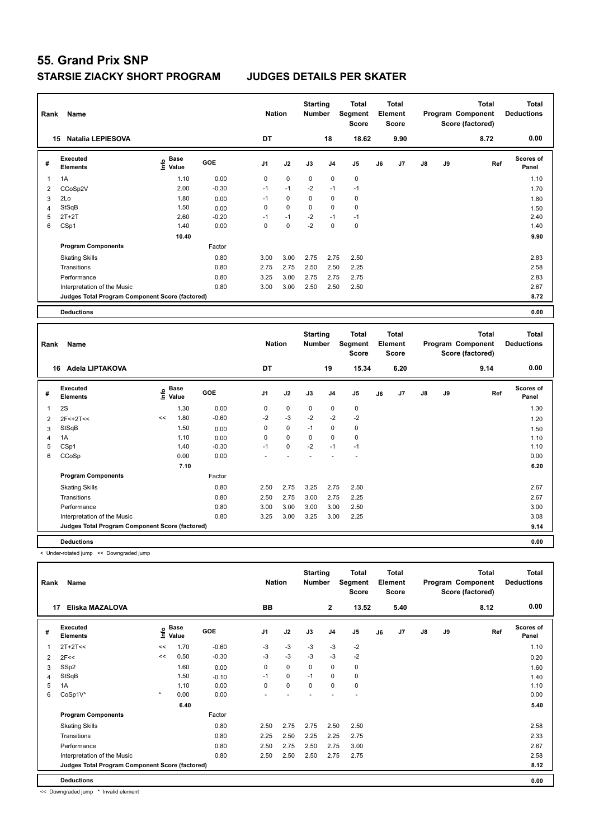| Rank           | Name                                            |                                  | <b>Nation</b> |                | <b>Starting</b><br><b>Number</b> | <b>Total</b><br>Segment<br><b>Score</b> | <b>Total</b><br>Element<br><b>Score</b> |                |    |      | <b>Total</b><br>Program Component<br>Score (factored) | <b>Total</b><br><b>Deductions</b> |      |                           |
|----------------|-------------------------------------------------|----------------------------------|---------------|----------------|----------------------------------|-----------------------------------------|-----------------------------------------|----------------|----|------|-------------------------------------------------------|-----------------------------------|------|---------------------------|
|                | <b>Natalia LEPIESOVA</b><br>15                  |                                  |               | DT             |                                  |                                         | 18                                      | 18.62          |    | 9.90 |                                                       |                                   | 8.72 | 0.00                      |
| #              | Executed<br><b>Elements</b>                     | <b>Base</b><br>e Base<br>⊆ Value | GOE           | J <sub>1</sub> | J2                               | J3                                      | J <sub>4</sub>                          | J <sub>5</sub> | J6 | J7   | J8                                                    | J9                                | Ref  | <b>Scores of</b><br>Panel |
| 1              | 1A                                              | 1.10                             | 0.00          | 0              | $\mathbf 0$                      | $\mathbf 0$                             | $\mathbf 0$                             | $\mathbf 0$    |    |      |                                                       |                                   |      | 1.10                      |
| 2              | CCoSp2V                                         | 2.00                             | $-0.30$       | $-1$           | $-1$                             | $-2$                                    | $-1$                                    | $-1$           |    |      |                                                       |                                   |      | 1.70                      |
| 3              | 2Lo                                             | 1.80                             | 0.00          | $-1$           | $\mathbf 0$                      | $\mathbf 0$                             | $\mathbf 0$                             | $\mathbf 0$    |    |      |                                                       |                                   |      | 1.80                      |
| $\overline{4}$ | StSqB                                           | 1.50                             | 0.00          | 0              | $\mathbf 0$                      | $\Omega$                                | 0                                       | $\mathbf 0$    |    |      |                                                       |                                   |      | 1.50                      |
| 5              | $2T+2T$                                         | 2.60                             | $-0.20$       | $-1$           | $-1$                             | $-2$                                    | $-1$                                    | $-1$           |    |      |                                                       |                                   |      | 2.40                      |
| 6              | CSp1                                            | 1.40                             | 0.00          | 0              | 0                                | $-2$                                    | 0                                       | 0              |    |      |                                                       |                                   |      | 1.40                      |
|                |                                                 | 10.40                            |               |                |                                  |                                         |                                         |                |    |      |                                                       |                                   |      | 9.90                      |
|                | <b>Program Components</b>                       |                                  | Factor        |                |                                  |                                         |                                         |                |    |      |                                                       |                                   |      |                           |
|                | <b>Skating Skills</b>                           |                                  | 0.80          | 3.00           | 3.00                             | 2.75                                    | 2.75                                    | 2.50           |    |      |                                                       |                                   |      | 2.83                      |
|                | Transitions                                     |                                  | 0.80          | 2.75           | 2.75                             | 2.50                                    | 2.50                                    | 2.25           |    |      |                                                       |                                   |      | 2.58                      |
|                | Performance                                     |                                  | 0.80          | 3.25           | 3.00                             | 2.75                                    | 2.75                                    | 2.75           |    |      |                                                       |                                   |      | 2.83                      |
|                | Interpretation of the Music                     |                                  | 0.80          | 3.00           | 3.00                             | 2.50                                    | 2.50                                    | 2.50           |    |      |                                                       |                                   |      | 2.67                      |
|                | Judges Total Program Component Score (factored) |                                  |               |                |                                  |                                         |                                         |                |    |      |                                                       |                                   |      | 8.72                      |
|                | <b>Deductions</b>                               |                                  |               |                |                                  |                                         |                                         |                |    |      |                                                       |                                   |      | 0.00                      |

| Name<br>Rank |                                                 |    |                   |            |                | <b>Nation</b> |             | <b>Starting</b><br><b>Number</b> | Total<br>Segment<br><b>Score</b> | Total<br>Element<br><b>Score</b> |      |               |    | <b>Total</b><br>Program Component<br>Score (factored) | <b>Total</b><br><b>Deductions</b> |
|--------------|-------------------------------------------------|----|-------------------|------------|----------------|---------------|-------------|----------------------------------|----------------------------------|----------------------------------|------|---------------|----|-------------------------------------------------------|-----------------------------------|
| 16           | Adela LIPTAKOVA                                 |    |                   |            | DT             |               |             | 19                               | 15.34                            |                                  | 6.20 |               |    | 9.14                                                  | 0.00                              |
| #            | Executed<br><b>Elements</b>                     |    | e Base<br>⊆ Value | <b>GOE</b> | J <sub>1</sub> | J2            | J3          | J <sub>4</sub>                   | J <sub>5</sub>                   | J6                               | J7   | $\mathsf{J}8$ | J9 | Ref                                                   | Scores of<br>Panel                |
| 1            | 2S                                              |    | 1.30              | 0.00       | 0              | $\pmb{0}$     | 0           | $\mathbf 0$                      | 0                                |                                  |      |               |    |                                                       | 1.30                              |
| 2            | $2F<+2T<$                                       | << | 1.80              | $-0.60$    | $-2$           | $-3$          | $-2$        | $-2$                             | $-2$                             |                                  |      |               |    |                                                       | 1.20                              |
| 3            | StSqB                                           |    | 1.50              | 0.00       | 0              | 0             | $-1$        | 0                                | 0                                |                                  |      |               |    |                                                       | 1.50                              |
| 4            | 1A                                              |    | 1.10              | 0.00       | 0              | $\mathbf 0$   | $\mathbf 0$ | $\mathbf 0$                      | $\mathbf 0$                      |                                  |      |               |    |                                                       | 1.10                              |
| 5            | CSp1                                            |    | 1.40              | $-0.30$    | $-1$           | $\pmb{0}$     | $-2$        | $-1$                             | $-1$                             |                                  |      |               |    |                                                       | 1.10                              |
| 6            | CCoSp                                           |    | 0.00              | 0.00       |                |               |             |                                  | $\overline{\phantom{a}}$         |                                  |      |               |    |                                                       | 0.00                              |
|              |                                                 |    | 7.10              |            |                |               |             |                                  |                                  |                                  |      |               |    |                                                       | 6.20                              |
|              | <b>Program Components</b>                       |    |                   | Factor     |                |               |             |                                  |                                  |                                  |      |               |    |                                                       |                                   |
|              | <b>Skating Skills</b>                           |    |                   | 0.80       | 2.50           | 2.75          | 3.25        | 2.75                             | 2.50                             |                                  |      |               |    |                                                       | 2.67                              |
|              | Transitions                                     |    |                   | 0.80       | 2.50           | 2.75          | 3.00        | 2.75                             | 2.25                             |                                  |      |               |    |                                                       | 2.67                              |
|              | Performance                                     |    |                   | 0.80       | 3.00           | 3.00          | 3.00        | 3.00                             | 2.50                             |                                  |      |               |    |                                                       | 3.00                              |
|              | Interpretation of the Music                     |    |                   | 0.80       | 3.25           | 3.00          | 3.25        | 3.00                             | 2.25                             |                                  |      |               |    |                                                       | 3.08                              |
|              | Judges Total Program Component Score (factored) |    |                   |            |                |               |             |                                  |                                  |                                  |      |               |    |                                                       | 9.14                              |
|              | <b>Deductions</b>                               |    |                   |            |                |               |             |                                  |                                  |                                  |      |               |    |                                                       | 0.00                              |

< Under-rotated jump << Downgraded jump

|    | Name<br>Rank                                    |         |                                           |            |                |             | <b>Starting</b><br><b>Number</b> |                | Total<br>Segment<br><b>Score</b> | <b>Total</b><br>Element<br><b>Score</b> |      |               |    | <b>Total</b><br>Program Component<br>Score (factored) | <b>Total</b><br><b>Deductions</b> |
|----|-------------------------------------------------|---------|-------------------------------------------|------------|----------------|-------------|----------------------------------|----------------|----------------------------------|-----------------------------------------|------|---------------|----|-------------------------------------------------------|-----------------------------------|
| 17 | Eliska MAZALOVA                                 |         |                                           |            | <b>BB</b>      |             |                                  | $\mathbf{2}$   | 13.52                            |                                         | 5.40 |               |    | 8.12                                                  | 0.00                              |
| #  | Executed<br><b>Elements</b>                     |         | $\frac{e}{E}$ Base<br>$\frac{e}{E}$ Value | <b>GOE</b> | J <sub>1</sub> | J2          | J3                               | J <sub>4</sub> | J <sub>5</sub>                   | J6                                      | J7   | $\mathsf{J}8$ | J9 | Ref                                                   | <b>Scores of</b><br>Panel         |
|    | $2T+2T<<$                                       | <<      | 1.70                                      | $-0.60$    | $-3$           | $-3$        | $-3$                             | $-3$           | $-2$                             |                                         |      |               |    |                                                       | 1.10                              |
| 2  | 2F<<                                            | <<      | 0.50                                      | $-0.30$    | $-3$           | $-3$        | $-3$                             | $-3$           | $-2$                             |                                         |      |               |    |                                                       | 0.20                              |
| 3  | SSp2                                            |         | 1.60                                      | 0.00       | 0              | $\pmb{0}$   | $\mathbf 0$                      | $\pmb{0}$      | 0                                |                                         |      |               |    |                                                       | 1.60                              |
| 4  | StSqB                                           |         | 1.50                                      | $-0.10$    | $-1$           | $\mathbf 0$ | $-1$                             | 0              | $\mathbf 0$                      |                                         |      |               |    |                                                       | 1.40                              |
| 5  | 1A                                              |         | 1.10                                      | 0.00       | 0              | $\pmb{0}$   | 0                                | 0              | 0                                |                                         |      |               |    |                                                       | 1.10                              |
| 6  | CoSp1V*                                         | $\star$ | 0.00                                      | 0.00       |                |             |                                  |                |                                  |                                         |      |               |    |                                                       | 0.00                              |
|    |                                                 |         | 6.40                                      |            |                |             |                                  |                |                                  |                                         |      |               |    |                                                       | 5.40                              |
|    | <b>Program Components</b>                       |         |                                           | Factor     |                |             |                                  |                |                                  |                                         |      |               |    |                                                       |                                   |
|    | <b>Skating Skills</b>                           |         |                                           | 0.80       | 2.50           | 2.75        | 2.75                             | 2.50           | 2.50                             |                                         |      |               |    |                                                       | 2.58                              |
|    | Transitions                                     |         |                                           | 0.80       | 2.25           | 2.50        | 2.25                             | 2.25           | 2.75                             |                                         |      |               |    |                                                       | 2.33                              |
|    | Performance                                     |         |                                           | 0.80       | 2.50           | 2.75        | 2.50                             | 2.75           | 3.00                             |                                         |      |               |    |                                                       | 2.67                              |
|    | Interpretation of the Music                     |         |                                           | 0.80       | 2.50           | 2.50        | 2.50                             | 2.75           | 2.75                             |                                         |      |               |    |                                                       | 2.58                              |
|    | Judges Total Program Component Score (factored) |         |                                           |            |                |             |                                  |                |                                  |                                         |      |               |    |                                                       | 8.12                              |
|    | <b>Deductions</b>                               |         |                                           |            |                |             |                                  |                |                                  |                                         |      |               |    |                                                       | 0.00                              |

<< Downgraded jump \* Invalid element